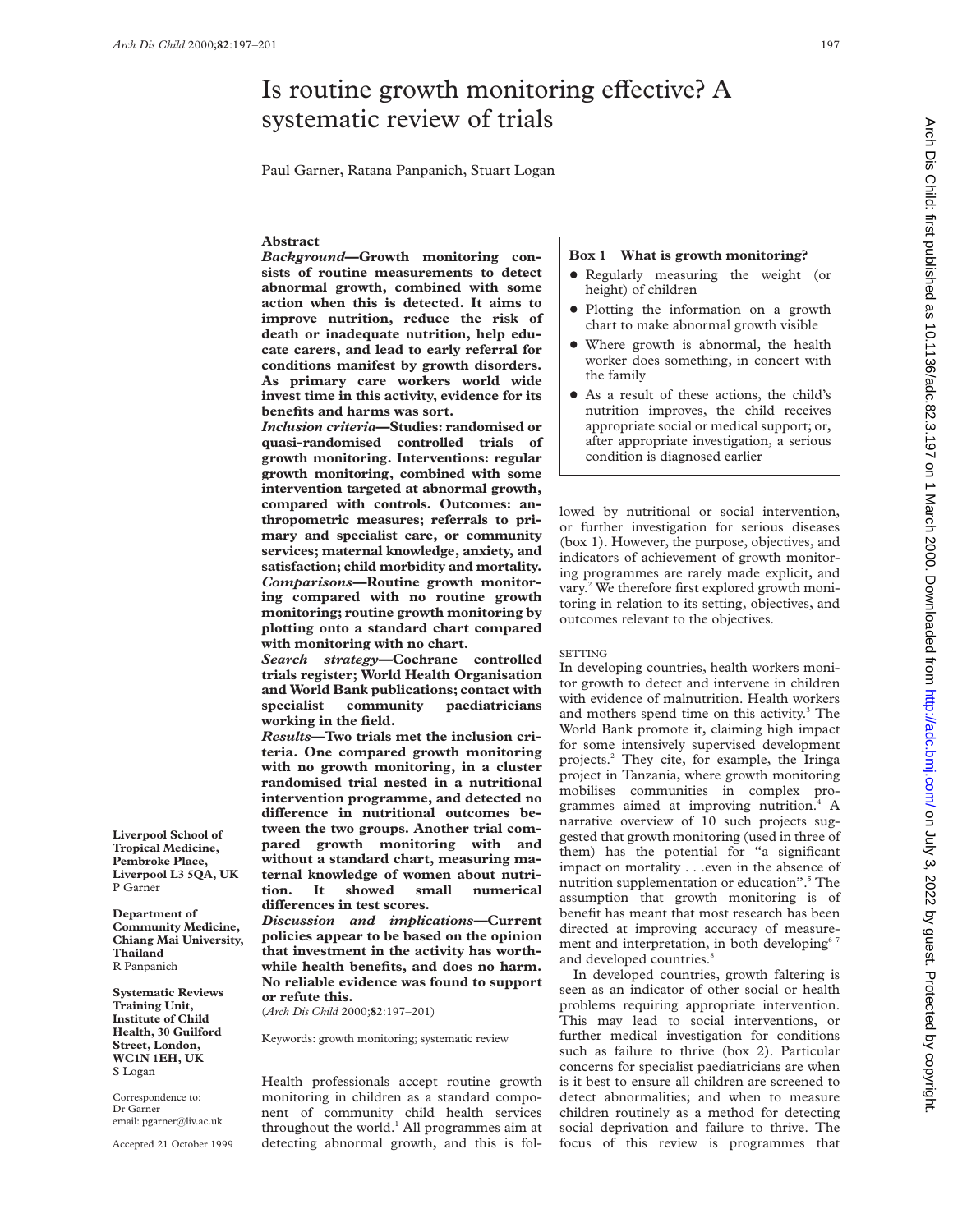# Is routine growth monitoring effective? A systematic review of trials

Paul Garner, Ratana Panpanich, Stuart Logan

# **Abstract**

*Background***—Growth monitoring consists of routine measurements to detect abnormal growth, combined with some action when this is detected. It aims to improve nutrition, reduce the risk of death or inadequate nutrition, help educate carers, and lead to early referral for conditions manifest by growth disorders. As primary care workers world wide invest time in this activity, evidence for its benefits and harms was sort.**

*Inclusion criteria***—Studies: randomised or quasi-randomised controlled trials of growth monitoring. Interventions: regular growth monitoring, combined with some intervention targeted at abnormal growth, compared with controls. Outcomes: anthropometric measures; referrals to primary and specialist care, or community services; maternal knowledge, anxiety, and satisfaction; child morbidity and mortality.** *Comparisons—***Routine growth monitoring compared with no routine growth monitoring; routine growth monitoring by plotting onto a standard chart compared with monitoring with no chart.**

*Search strategy—***Cochrane controlled trials register; World Health Organisation and World Bank publications; contact with specialist community paediatricians working in the field.**

*Results—***Two trials met the inclusion criteria. One compared growth monitoring with no growth monitoring, in a cluster randomised trial nested in a nutritional intervention programme, and detected no** difference in nutritional outcomes be**tween the two groups. Another trial compared growth monitoring with and without a standard chart, measuring maternal knowledge of women about nutrition. It showed small numerical diVerences in test scores.**

*Discussion and implications—***Current policies appear to be based on the opinion that investment in the activity has worthwhile health benefits, and does no harm. No reliable evidence was found to support or refute this.**

(*Arch Dis Child* 2000;**82**:197–201)

Keywords: growth monitoring; systematic review

Health professionals accept routine growth monitoring in children as a standard component of community child health services throughout the world. $<sup>1</sup>$  All programmes aim at</sup> detecting abnormal growth, and this is fol-

# **Box 1 What is growth monitoring?**

- Regularly measuring the weight (or height) of children
- Plotting the information on a growth chart to make abnormal growth visible
- Where growth is abnormal, the health worker does something, in concert with the family
- As a result of these actions, the child's nutrition improves, the child receives appropriate social or medical support; or, after appropriate investigation, a serious condition is diagnosed earlier

lowed by nutritional or social intervention, or further investigation for serious diseases (box 1). However, the purpose, objectives, and indicators of achievement of growth monitoring programmes are rarely made explicit, and vary.<sup>2</sup> We therefore first explored growth monitoring in relation to its setting, objectives, and outcomes relevant to the objectives.

#### **SETTING**

In developing countries, health workers monitor growth to detect and intervene in children with evidence of malnutrition. Health workers and mothers spend time on this activity.<sup>3</sup> The World Bank promote it, claiming high impact for some intensively supervised development projects.2 They cite, for example, the Iringa project in Tanzania, where growth monitoring mobilises communities in complex programmes aimed at improving nutrition.<sup>4</sup> A narrative overview of 10 such projects suggested that growth monitoring (used in three of them) has the potential for "a significant impact on mortality . . .even in the absence of nutrition supplementation or education".<sup>5</sup> The assumption that growth monitoring is of benefit has meant that most research has been directed at improving accuracy of measurement and interpretation, in both developing<sup>67</sup> and developed countries.<sup>8</sup>

In developed countries, growth faltering is seen as an indicator of other social or health problems requiring appropriate intervention. This may lead to social interventions, or further medical investigation for conditions such as failure to thrive (box 2). Particular concerns for specialist paediatricians are when is it best to ensure all children are screened to detect abnormalities; and when to measure children routinely as a method for detecting social deprivation and failure to thrive. The focus of this review is programmes that

**Liverpool School of Tropical Medicine, Pembroke Place, Liverpool L3 5QA, UK** P Garner

**Department of Community Medicine, Chiang Mai University, Thailand** R Panpanich

**Systematic Reviews Training Unit, Institute of Child Health, 30 Guilford Street, London, WC1N 1EH, UK** S Logan

Correspondence to: Dr Garner email: pgarner@liv.ac.uk

Accepted 21 October 1999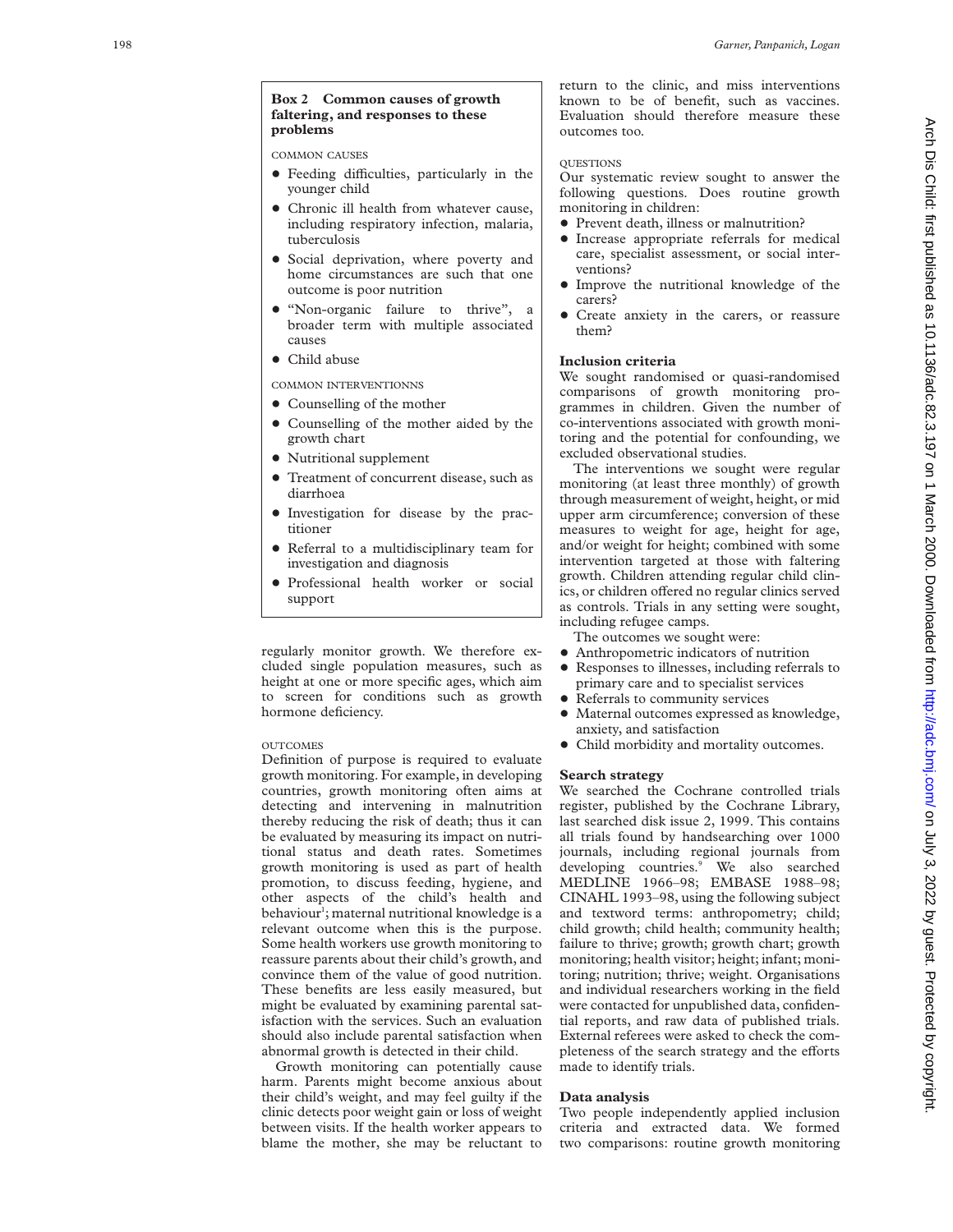#### **Box 2 Common causes of growth faltering, and responses to these problems**

COMMON CAUSES

- $\bullet$  Feeding difficulties, particularly in the younger child
- Chronic ill health from whatever cause, including respiratory infection, malaria, tuberculosis
- Social deprivation, where poverty and home circumstances are such that one outcome is poor nutrition
- "Non-organic failure to thrive", a broader term with multiple associated causes
- Child abuse

COMMON INTERVENTIONNS

- Counselling of the mother
- Counselling of the mother aided by the growth chart
- Nutritional supplement
- $\bullet$  Treatment of concurrent disease, such as diarrhoea
- + Investigation for disease by the practitioner
- + Referral to a multidisciplinary team for investigation and diagnosis
- Professional health worker or social support

regularly monitor growth. We therefore excluded single population measures, such as height at one or more specific ages, which aim to screen for conditions such as growth hormone deficiency.

# **OUTCOMES**

Definition of purpose is required to evaluate growth monitoring. For example, in developing countries, growth monitoring often aims at detecting and intervening in malnutrition thereby reducing the risk of death; thus it can be evaluated by measuring its impact on nutritional status and death rates. Sometimes growth monitoring is used as part of health promotion, to discuss feeding, hygiene, and other aspects of the child's health and behaviour 1 ; maternal nutritional knowledge is a relevant outcome when this is the purpose. Some health workers use growth monitoring to reassure parents about their child's growth, and convince them of the value of good nutrition. These benefits are less easily measured, but might be evaluated by examining parental satisfaction with the services. Such an evaluation should also include parental satisfaction when abnormal growth is detected in their child.

Growth monitoring can potentially cause harm. Parents might become anxious about their child's weight, and may feel guilty if the clinic detects poor weight gain or loss of weight between visits. If the health worker appears to blame the mother, she may be reluctant to

return to the clinic, and miss interventions known to be of benefit, such as vaccines. Evaluation should therefore measure these outcomes too.

### **OUESTIONS**

Our systematic review sought to answer the following questions. Does routine growth monitoring in children:

- Prevent death, illness or malnutrition?
- $\bullet$  Increase appropriate referrals for medical care, specialist assessment, or social interventions?
- Improve the nutritional knowledge of the carers?
- + Create anxiety in the carers, or reassure them?

# **Inclusion criteria**

We sought randomised or quasi-randomised comparisons of growth monitoring programmes in children. Given the number of co-interventions associated with growth monitoring and the potential for confounding, we excluded observational studies.

The interventions we sought were regular monitoring (at least three monthly) of growth through measurement of weight, height, or mid upper arm circumference; conversion of these measures to weight for age, height for age, and/or weight for height; combined with some intervention targeted at those with faltering growth. Children attending regular child clinics, or children offered no regular clinics served as controls. Trials in any setting were sought, including refugee camps.

- The outcomes we sought were:
- Anthropometric indicators of nutrition
- Responses to illnesses, including referrals to primary care and to specialist services
- Referrals to community services
- Maternal outcomes expressed as knowledge, anxiety, and satisfaction
- + Child morbidity and mortality outcomes.

### **Search strategy**

We searched the Cochrane controlled trials register, published by the Cochrane Library, last searched disk issue 2, 1999. This contains all trials found by handsearching over 1000 journals, including regional journals from developing countries. <sup>9</sup> We also searched MEDLINE 1966–98; EMBASE 1988–98; CINAHL 1993–98, using the following subject and textword terms: anthropometry; child; child growth; child health; community health; failure to thrive; growth; growth chart; growth monitoring; health visitor; height; infant; monitoring; nutrition; thrive; weight. Organisations and individual researchers working in the field were contacted for unpublished data, confidential reports, and raw data of published trials. External referees were asked to check the completeness of the search strategy and the efforts made to identify trials.

# **Data analysis**

Two people independently applied inclusion criteria and extracted data. We formed two comparisons: routine growth monitoring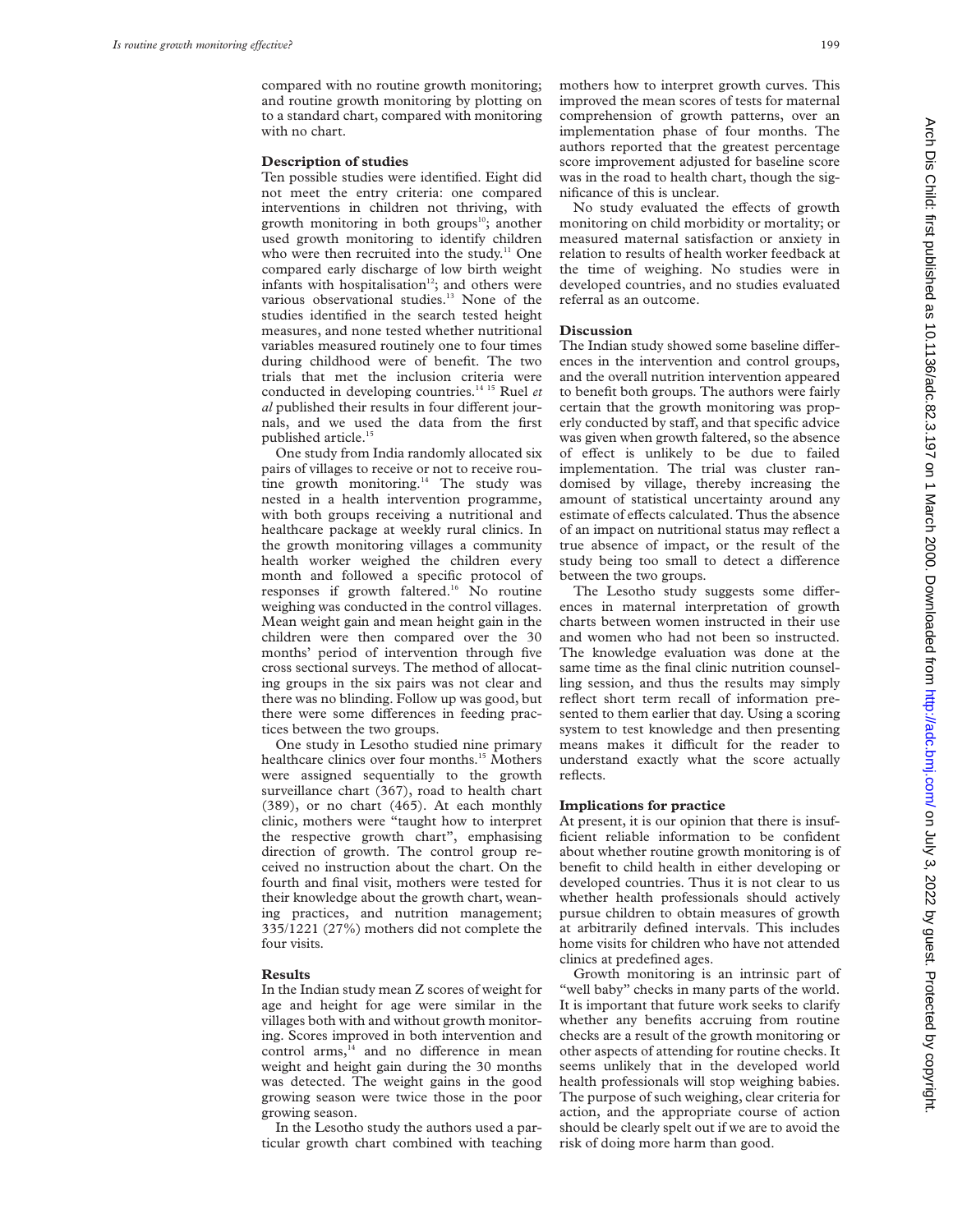compared with no routine growth monitoring; and routine growth monitoring by plotting on to a standard chart, compared with monitoring with no chart.

#### **Description of studies**

Ten possible studies were identified. Eight did not meet the entry criteria: one compared interventions in children not thriving, with growth monitoring in both groups<sup>10</sup>; another used growth monitoring to identify children who were then recruited into the study. $11$  One compared early discharge of low birth weight infants with hospitalisation<sup>12</sup>; and others were various observational studies.<sup>13</sup> None of the studies identified in the search tested height measures, and none tested whether nutritional variables measured routinely one to four times during childhood were of benefit. The two trials that met the inclusion criteria were conducted in developing countries.14 15 Ruel *et al* published their results in four different journals, and we used the data from the first published article.15

One study from India randomly allocated six pairs of villages to receive or not to receive routine growth monitoring.<sup>14</sup> The study was nested in a health intervention programme, with both groups receiving a nutritional and healthcare package at weekly rural clinics. In the growth monitoring villages a community health worker weighed the children every month and followed a specific protocol of responses if growth faltered.<sup>16</sup> No routine weighing was conducted in the control villages. Mean weight gain and mean height gain in the children were then compared over the 30 months' period of intervention through five cross sectional surveys. The method of allocating groups in the six pairs was not clear and there was no blinding. Follow up was good, but there were some differences in feeding practices between the two groups.

One study in Lesotho studied nine primary healthcare clinics over four months.<sup>15</sup> Mothers were assigned sequentially to the growth surveillance chart (367), road to health chart (389), or no chart (465). At each monthly clinic, mothers were "taught how to interpret the respective growth chart", emphasising direction of growth. The control group received no instruction about the chart. On the fourth and final visit, mothers were tested for their knowledge about the growth chart, weaning practices, and nutrition management; 335/1221 (27%) mothers did not complete the four visits.

#### **Results**

In the Indian study mean Z scores of weight for age and height for age were similar in the villages both with and without growth monitoring. Scores improved in both intervention and control arms,<sup>14</sup> and no difference in mean weight and height gain during the 30 months was detected. The weight gains in the good growing season were twice those in the poor growing season.

In the Lesotho study the authors used a particular growth chart combined with teaching mothers how to interpret growth curves. This improved the mean scores of tests for maternal comprehension of growth patterns, over an implementation phase of four months. The authors reported that the greatest percentage score improvement adjusted for baseline score was in the road to health chart, though the significance of this is unclear.

No study evaluated the effects of growth monitoring on child morbidity or mortality; or measured maternal satisfaction or anxiety in relation to results of health worker feedback at the time of weighing. No studies were in developed countries, and no studies evaluated referral as an outcome.

#### **Discussion**

The Indian study showed some baseline differences in the intervention and control groups, and the overall nutrition intervention appeared to benefit both groups. The authors were fairly certain that the growth monitoring was properly conducted by staff, and that specific advice was given when growth faltered, so the absence of effect is unlikely to be due to failed implementation. The trial was cluster randomised by village, thereby increasing the amount of statistical uncertainty around any estimate of effects calculated. Thus the absence of an impact on nutritional status may reflect a true absence of impact, or the result of the study being too small to detect a difference between the two groups.

The Lesotho study suggests some differences in maternal interpretation of growth charts between women instructed in their use and women who had not been so instructed. The knowledge evaluation was done at the same time as the final clinic nutrition counselling session, and thus the results may simply reflect short term recall of information presented to them earlier that day. Using a scoring system to test knowledge and then presenting means makes it difficult for the reader to understand exactly what the score actually reflects.

# **Implications for practice**

At present, it is our opinion that there is insufficient reliable information to be confident about whether routine growth monitoring is of benefit to child health in either developing or developed countries. Thus it is not clear to us whether health professionals should actively pursue children to obtain measures of growth at arbitrarily defined intervals. This includes home visits for children who have not attended clinics at predefined ages.

Growth monitoring is an intrinsic part of "well baby" checks in many parts of the world. It is important that future work seeks to clarify whether any benefits accruing from routine checks are a result of the growth monitoring or other aspects of attending for routine checks. It seems unlikely that in the developed world health professionals will stop weighing babies. The purpose of such weighing, clear criteria for action, and the appropriate course of action should be clearly spelt out if we are to avoid the risk of doing more harm than good.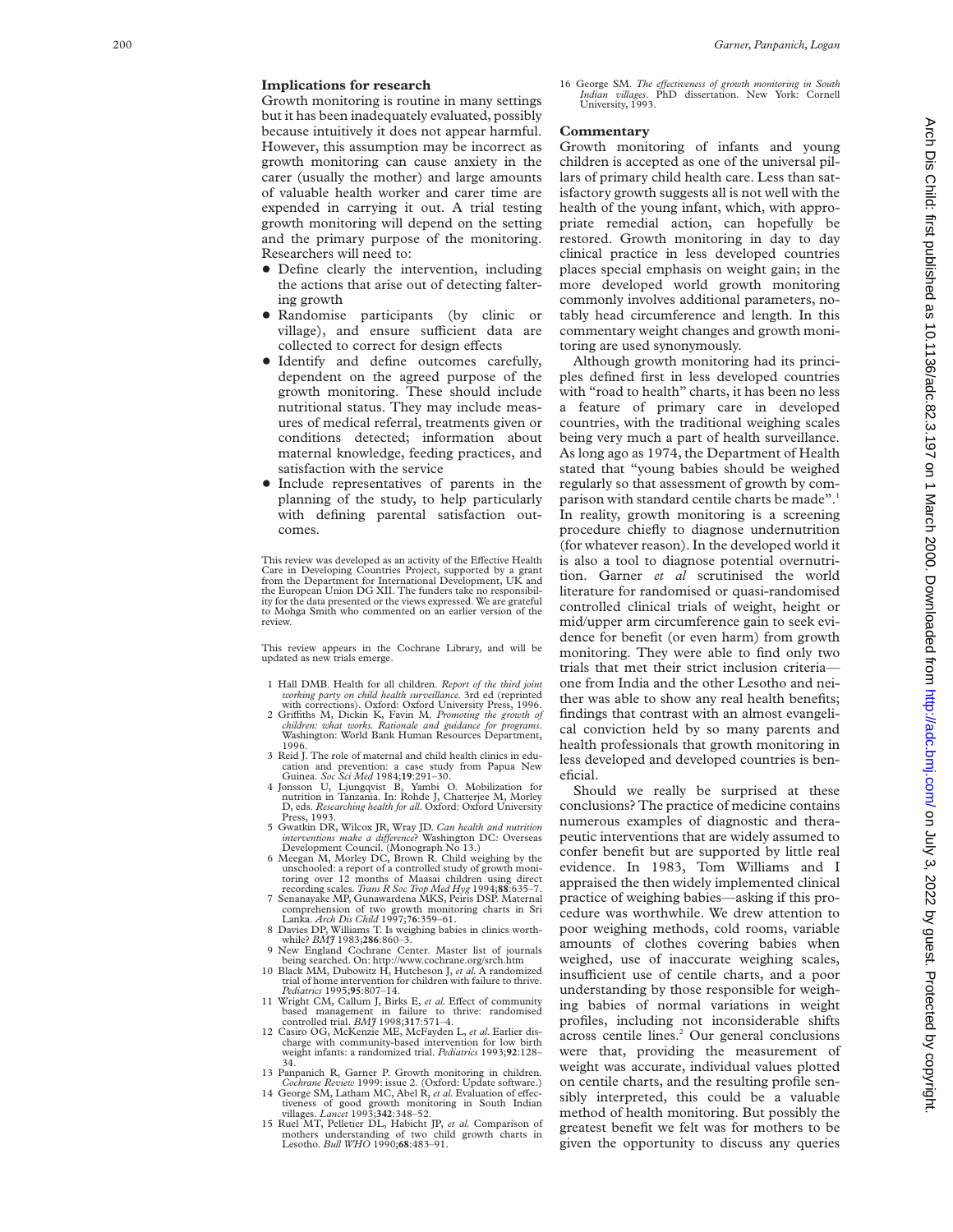# **Implications for research**

Growth monitoring is routine in many settings but it has been inadequately evaluated, possibly because intuitively it does not appear harmful. However, this assumption may be incorrect as growth monitoring can cause anxiety in the carer (usually the mother) and large amounts of valuable health worker and carer time are expended in carrying it out. A trial testing growth monitoring will depend on the setting and the primary purpose of the monitoring. Researchers will need to:

- Define clearly the intervention, including the actions that arise out of detecting faltering growth
- + Randomise participants (by clinic or village), and ensure sufficient data are collected to correct for design effects
- Identify and define outcomes carefully, dependent on the agreed purpose of the growth monitoring. These should include nutritional status. They may include measures of medical referral, treatments given or conditions detected; information about maternal knowledge, feeding practices, and satisfaction with the service
- Include representatives of parents in the planning of the study, to help particularly with defining parental satisfaction outcomes.

This review was developed as an activity of the Effective Health Care in Developing Countries Project, supported by a grant from the Department for International Development, UK and the European Union DG XII. The funders take no responsibil-ity for the data presented or the views expressed. We are grateful to Mohga Smith who commented on an earlier version of the review.

This review appears in the Cochrane Library, and will be updated as new trials emerge.

- 1 Hall DMB. Health for all children. *Report of the third joint working party on child health surveillance.* 3rd ed (reprinted with corrections). Oxford: Oxford University Press, 1996.
- 2 Griffiths M, Dickin K, Favin M. Promoting the growth of *children: what works. Rationale and guidance for programs* . Washington: World Bank Human Resources Department, 1996.
- 3 Reid J. The role of maternal and child health clinics in education and prevention: a case study from Papua New<br>Guinea. *Soc Sci Med* 1984;**19**:291–30.<br>4 Jonsson U, Ljungqvist B, Yambi O. Mobilization for<br>nutrition in Tanzania. In: Rohde J, Chatterjee M, Morley
- D, eds. *Researching health for all*. Oxford: Oxford University Press, 1993.
- 5 Gwatkin DR, Wilcox JR, Wray JD. *Can health and nutrition interventions make a diVerence*? Washington DC: Overseas Development Council. (Monograph No 13.) 6 Meegan M, Morley DC, Brown R. Child weighing by the
- unschooled: a report of a controlled study of growth monitoring over 12 months of Maasai children recording scales. *Trans R Soc Trop Med Hyg* 1994;**88**:635–7. 7 Senanayake MP, Gunawardena MKS, Peiris DSP. Maternal
- comprehension of two growth monitoring charts in Sri Lanka. *Arch Dis Child* 1997;**76**:359–61.
- 8 Davies DP, Williams T. Is weighing babies in clinics worth-
- while? *BMJ* 1983;**286**:860–3. 9 New England Cochrane Center. Master list of journals being searched. On: http://www.cochrane.org/srch.htm 10 Black MM, Dubowitz H, Hutcheson J, *et al.* A randomized
- trial of home intervention for children with failure to thrive.<br>Pediatrics 1995;95:807-14. Pediatrics 1995;95:807-14.<br>11 Wright CM, Callum J, Birks E, *et al.* Effect of community
- based management in failure to thrive: randomised controlled trial. *BMJ* 1998;**317**:571–4.
- 12 Casiro OG, McKenzie ME, McFayden L, *et al.* Earlier dis-charge with community-based intervention for low birth weight infants: a randomized trial. *Pediatrics* 1993;**92**:128– 34.
- 13 Panpanich R, Garner P. Growth monitoring in children. *Cochrane Review* 1999: issue 2. (Oxford: Update software.) 14 George SM, Latham MC, Abel R, et al. Evaluation of effec-
- tiveness of good growth monitoring in South Indian<br>villages. *Lancet* 1993;342:348–52.
- 15 Ruel MT, Pelletier DL, Habicht JP, *et al.* Comparison of mothers understanding of two child growth charts in Lesotho. *Bull WHO* 1990;**68**:483–91.

16 George SM. *The eVectiveness of growth monitoring in South Indian villages*. PhD dissertation. New York: Cornell University, 1993.

#### **Commentary**

Growth monitoring of infants and young children is accepted as one of the universal pillars of primary child health care. Less than satisfactory growth suggests all is not well with the health of the young infant, which, with appropriate remedial action, can hopefully be restored. Growth monitoring in day to day clinical practice in less developed countries places special emphasis on weight gain; in the more developed world growth monitoring commonly involves additional parameters, notably head circumference and length. In this commentary weight changes and growth monitoring are used synonymously.

Although growth monitoring had its principles defined first in less developed countries with "road to health" charts, it has been no less a feature of primary care in developed countries, with the traditional weighing scales being very much a part of health surveillance. As long ago as 1974, the Department of Health stated that "young babies should be weighed regularly so that assessment of growth by comparison with standard centile charts be made".<sup>1</sup> In reality, growth monitoring is a screening procedure chiefly to diagnose undernutrition (for whatever reason). In the developed world it is also a tool to diagnose potential overnutrition. Garner *et al* scrutinised the world literature for randomised or quasi-randomised controlled clinical trials of weight, height or mid/upper arm circumference gain to seek evidence for benefit (or even harm) from growth monitoring. They were able to find only two trials that met their strict inclusion criteria one from India and the other Lesotho and neither was able to show any real health benefits; findings that contrast with an almost evangelical conviction held by so many parents and health professionals that growth monitoring in less developed and developed countries is beneficial.

Should we really be surprised at these conclusions? The practice of medicine contains numerous examples of diagnostic and therapeutic interventions that are widely assumed to confer benefit but are supported by little real evidence. In 1983, Tom Williams and I appraised the then widely implemented clinical practice of weighing babies—asking if this procedure was worthwhile. We drew attention to poor weighing methods, cold rooms, variable amounts of clothes covering babies when weighed, use of inaccurate weighing scales, insufficient use of centile charts, and a poor understanding by those responsible for weighing babies of normal variations in weight profiles, including not inconsiderable shifts across centile lines. <sup>2</sup> Our general conclusions were that, providing the measurement of weight was accurate, individual values plotted on centile charts, and the resulting profile sensibly interpreted, this could be a valuable method of health monitoring. But possibly the greatest benefit we felt was for mothers to be given the opportunity to discuss any queries